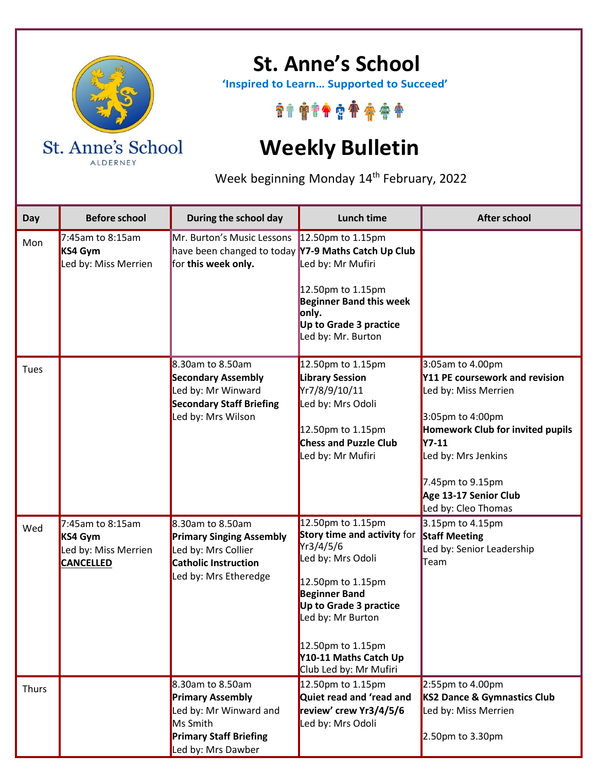

ALDERNEY

## **St. Anne's School**

 **'Inspired to Learn… Supported to Succeed'**

\*\*\*\*\*\*\*\*\*\*

## **Weekly Bulletin**

Week beginning Monday 14<sup>th</sup> February, 2022

| Day   | <b>Before school</b>                                                    | During the school day                                                                                                                    | <b>Lunch time</b>                                                                                                                                                                                                                                             | <b>After school</b>                                                                                                                                                                                                                           |
|-------|-------------------------------------------------------------------------|------------------------------------------------------------------------------------------------------------------------------------------|---------------------------------------------------------------------------------------------------------------------------------------------------------------------------------------------------------------------------------------------------------------|-----------------------------------------------------------------------------------------------------------------------------------------------------------------------------------------------------------------------------------------------|
| Mon   | 7:45am to 8:15am<br>KS4 Gym<br>Led by: Miss Merrien                     | Mr. Burton's Music Lessons<br>have been changed to today Y7-9 Maths Catch Up Club<br>for this week only.                                 | 12.50pm to 1.15pm<br>Led by: Mr Mufiri<br>12.50pm to 1.15pm<br><b>Beginner Band this week</b><br>only.<br>Up to Grade 3 practice<br>Led by: Mr. Burton                                                                                                        |                                                                                                                                                                                                                                               |
| Tues  |                                                                         | 8.30am to 8.50am<br><b>Secondary Assembly</b><br>Led by: Mr Winward<br><b>Secondary Staff Briefing</b><br>Led by: Mrs Wilson             | 12.50pm to 1.15pm<br><b>Library Session</b><br>Yr7/8/9/10/11<br>Led by: Mrs Odoli<br>12.50pm to 1.15pm<br><b>Chess and Puzzle Club</b><br>Led by: Mr Mufiri                                                                                                   | 3:05am to 4.00pm<br>Y11 PE coursework and revision<br>Led by: Miss Merrien<br>3:05pm to 4:00pm<br>Homework Club for invited pupils<br><b>Y7-11</b><br>Led by: Mrs Jenkins<br>7.45pm to 9.15pm<br>Age 13-17 Senior Club<br>Led by: Cleo Thomas |
| Wed   | 7:45am to 8:15am<br>KS4 Gym<br>Led by: Miss Merrien<br><b>CANCELLED</b> | 8.30am to 8.50am<br><b>Primary Singing Assembly</b><br>Led by: Mrs Collier<br><b>Catholic Instruction</b><br>Led by: Mrs Etheredge       | 12.50pm to 1.15pm<br><b>Story time and activity for</b><br>Yr3/4/5/6<br>Led by: Mrs Odoli<br>12.50pm to 1.15pm<br><b>Beginner Band</b><br>Up to Grade 3 practice<br>Led by: Mr Burton<br>12.50pm to 1.15pm<br>Y10-11 Maths Catch Up<br>Club Led by: Mr Mufiri | 3.15pm to 4.15pm<br><b>Staff Meeting</b><br>Led by: Senior Leadership<br>Team                                                                                                                                                                 |
| Thurs |                                                                         | 8.30am to 8.50am<br><b>Primary Assembly</b><br>Led by: Mr Winward and<br>Ms Smith<br><b>Primary Staff Briefing</b><br>Led by: Mrs Dawber | 12.50pm to 1.15pm<br>Quiet read and 'read and<br>review' crew Yr3/4/5/6<br>Led by: Mrs Odoli                                                                                                                                                                  | 2:55pm to 4.00pm<br>KS2 Dance & Gymnastics Club<br>Led by: Miss Merrien<br>2.50pm to 3.30pm                                                                                                                                                   |